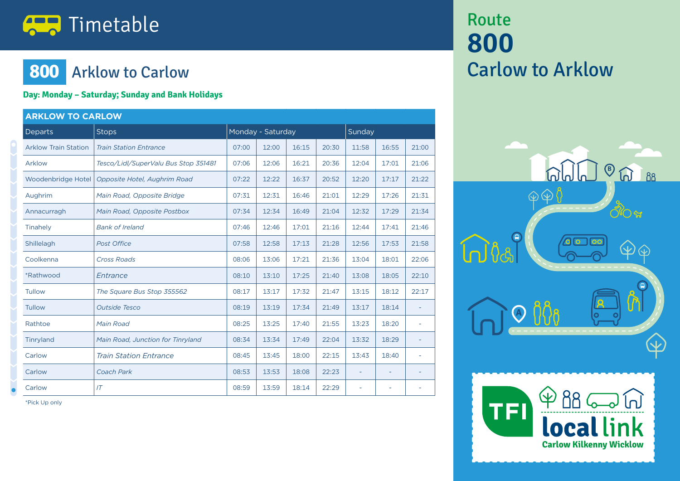# **The Timetable**

### **800** Arklow to Carlow

#### **Day: Monday – Saturday; Sunday and Bank Holidays**

| <b>ARKLOW TO CARLOW</b>     |                                      |                   |       |       |       |                          |       |                          |  |  |
|-----------------------------|--------------------------------------|-------------------|-------|-------|-------|--------------------------|-------|--------------------------|--|--|
| <b>Departs</b>              | <b>Stops</b>                         | Monday - Saturday |       |       |       | Sunday                   |       |                          |  |  |
| <b>Arklow Train Station</b> | <b>Train Station Entrance</b>        | 07:00             | 12:00 | 16:15 | 20:30 | 11:58                    | 16:55 | 21:00                    |  |  |
| Arklow                      | Tesco/Lidl/SuperValu Bus Stop 351481 | 07:06             | 12:06 | 16:21 | 20:36 | 12:04                    | 17:01 | 21:06                    |  |  |
| Woodenbridge Hotel          | Opposite Hotel, Aughrim Road         | 07:22             | 12:22 | 16:37 | 20:52 | 12:20                    | 17:17 | 21:22                    |  |  |
| Aughrim                     | Main Road, Opposite Bridge           | 07:31             | 12:31 | 16:46 | 21:01 | 12:29                    | 17:26 | 21:31                    |  |  |
| Annacurragh                 | Main Road, Opposite Postbox          | 07:34             | 12:34 | 16:49 | 21:04 | 12:32                    | 17:29 | 21:34                    |  |  |
| Tinahely                    | <b>Bank of Ireland</b>               | 07:46             | 12:46 | 17:01 | 21:16 | 12:44                    | 17:41 | 21:46                    |  |  |
| Shillelagh                  | <b>Post Office</b>                   | 07:58             | 12:58 | 17:13 | 21:28 | 12:56                    | 17:53 | 21:58                    |  |  |
| Coolkenna                   | <b>Cross Roads</b>                   | 08:06             | 13:06 | 17:21 | 21:36 | 13:04                    | 18:01 | 22:06                    |  |  |
| *Rathwood                   | Entrance                             | 08:10             | 13:10 | 17:25 | 21:40 | 13:08                    | 18:05 | 22:10                    |  |  |
| <b>Tullow</b>               | The Square Bus Stop 355562           | 08:17             | 13:17 | 17:32 | 21:47 | 13:15                    | 18:12 | 22:17                    |  |  |
| Tullow                      | <b>Outside Tesco</b>                 | 08:19             | 13:19 | 17:34 | 21:49 | 13:17                    | 18:14 |                          |  |  |
| Rathtoe                     | Main Road                            | 08:25             | 13:25 | 17:40 | 21:55 | 13:23                    | 18:20 |                          |  |  |
| Tinryland                   | Main Road, Junction for Tinryland    | 08:34             | 13:34 | 17:49 | 22:04 | 13:32                    | 18:29 | $\overline{\phantom{a}}$ |  |  |
| Carlow                      | <b>Train Station Entrance</b>        | 08:45             | 13:45 | 18:00 | 22:15 | 13:43                    | 18:40 | $\overline{\phantom{a}}$ |  |  |
| Carlow                      | Coach Park                           | 08:53             | 13:53 | 18:08 | 22:23 | $\overline{a}$           | ÷     |                          |  |  |
| Carlow                      | IT                                   | 08:59             | 13:59 | 18:14 | 22:29 | $\overline{\phantom{a}}$ | ÷     |                          |  |  |

\*Pick Up only

## Route **800** Carlow to Arklow